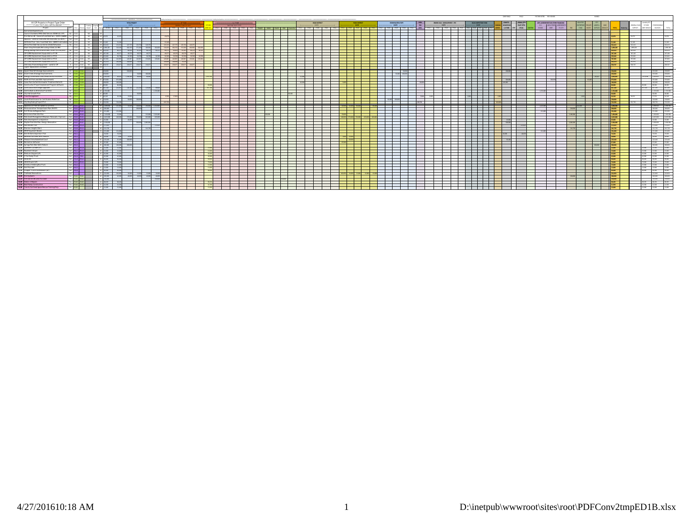|                                                                                                                                                                                                                                                                                                                                                                                       |                                                                                                                |                 |                                                                                                                                                                                                                                      |             |                   |                         |                          |                             |                 |                                    |                  |          |  |  |            |                      |  |                     |                          |                      |  |                 |                                                     |            |                               |                                                         |                     |         | CARE FUND!                 | <b>BAACK</b> | FUTURE VOTED REV. BOADS |                                |  | <b>IN KING</b>    |                |                   |                                |                                                           |
|---------------------------------------------------------------------------------------------------------------------------------------------------------------------------------------------------------------------------------------------------------------------------------------------------------------------------------------------------------------------------------------|----------------------------------------------------------------------------------------------------------------|-----------------|--------------------------------------------------------------------------------------------------------------------------------------------------------------------------------------------------------------------------------------|-------------|-------------------|-------------------------|--------------------------|-----------------------------|-----------------|------------------------------------|------------------|----------|--|--|------------|----------------------|--|---------------------|--------------------------|----------------------|--|-----------------|-----------------------------------------------------|------------|-------------------------------|---------------------------------------------------------|---------------------|---------|----------------------------|--------------|-------------------------|--------------------------------|--|-------------------|----------------|-------------------|--------------------------------|-----------------------------------------------------------|
| All CIP Projects in Project Type Order                                                                                                                                                                                                                                                                                                                                                |                                                                                                                |                 |                                                                                                                                                                                                                                      |             |                   |                         | <b>TOTAL PROJECT</b>     |                             |                 |                                    |                  |          |  |  |            |                      |  | ROAD DISTRICT       |                          | <b>PARK DISTRICT</b> |  |                 |                                                     |            | SEWER RAD / DEVELOPMENT / ETC |                                                         | LOG INSPECTION FUND |         |                            |              |                         | EW ASSESSMENTS OR OTHER CRIANS |  |                   |                |                   |                                |                                                           |
| ******* FY 2017 TO FY 2021 CAPITAL BUDGET **                                                                                                                                                                                                                                                                                                                                          |                                                                                                                |                 | Funding Drigoing FIT7                                                                                                                                                                                                                |             |                   |                         | $ NSE -$                 |                             |                 |                                    |                  |          |  |  |            |                      |  | $\cos \pi$ -        |                          | $ cos 1 -$           |  | ---- 00515 ---- |                                                     | <b>TAX</b> | $-$ costs.                    |                                                         | $ cos 11 -$         |         | <b>DOMATIONS</b>           | PEOTOTPU     |                         | GO. 9050THER ASSESSMENT        |  |                   |                | <b>CNCEW CIRC</b> | <b>PUTURE</b>                  | HERRYOUS                                                  |
| Project                                                                                                                                                                                                                                                                                                                                                                               |                                                                                                                |                 | a loggi viv Bank                                                                                                                                                                                                                     |             |                   |                         | $100R$ $m2$ $m8$ $m8$    |                             |                 | 5778                               | FFT9 9720        |          |  |  |            | HARS POLICE FRE      |  | $m = 1$ $m = 1$ $n$ |                          |                      |  |                 | F21 F12 F13 F13 F13 F23 F12 F13 F13 F13 F13 F23 F21 |            |                               | ANCA (F17) F113 F119 F120 F121 F117 F118 F119 F120 F121 |                     |         | SHOR SOME                  | TOP CMAG     | sonos                   | $-0.047$                       |  |                   |                | SUPPORT           | SEN SENIOR                     | squaces<br>TOTAL                                          |
| Earmarked Expenditures:                                                                                                                                                                                                                                                                                                                                                               |                                                                                                                |                 | ┯                                                                                                                                                                                                                                    |             |                   |                         |                          |                             |                 |                                    |                  |          |  |  |            |                      |  |                     |                          |                      |  |                 |                                                     |            |                               |                                                         |                     |         |                            |              |                         |                                |  |                   |                |                   |                                |                                                           |
| Council Chambers/MRA Debt Service 2006 (\$1.1 M) 0 05 of 1 163 165 166<br>Fire Station #4 - General Fund Debt Serv. 2007A (\$680K)                                                                                                                                                                                                                                                    |                                                                                                                |                 |                                                                                                                                                                                                                                      |             |                   |                         |                          |                             |                 |                                    |                  |          |  |  |            |                      |  |                     |                          |                      |  |                 |                                                     |            |                               |                                                         | -----               |         | . .                        |              |                         |                                |  |                   |                |                   |                                |                                                           |
| Aguatics - General Fund Debt Service2006C (\$1.86 M)                                                                                                                                                                                                                                                                                                                                  | Re Get T<br><b>CS-01</b>                                                                                       |                 | A22 18: 18: 4<br>$\frac{1}{2}$ and $\frac{1}{2}$ and $\frac{1}{2}$ and $\frac{1}{2}$                                                                                                                                                 |             |                   |                         |                          |                             |                 |                                    |                  |          |  |  |            |                      |  |                     |                          |                      |  |                 |                                                     |            |                               |                                                         |                     |         |                            |              |                         |                                |  |                   |                |                   |                                |                                                           |
| 50 Meter Pool - Gen: Fund Debt Serv. (\$800 K estim.                                                                                                                                                                                                                                                                                                                                  | ad as can a visit we sugge                                                                                     |                 |                                                                                                                                                                                                                                      |             |                   | CY THE                  |                          |                             |                 |                                    |                  |          |  |  |            | . .                  |  |                     |                          |                      |  |                 |                                                     |            |                               |                                                         | -----               |         | $\overline{\phantom{a}}$   |              |                         |                                |  |                   | <b>SERAR I</b> | CE SHE            |                                | \$5,248                                                   |
| White Pine Debt Service Series 2010A Refunded                                                                                                                                                                                                                                                                                                                                         |                                                                                                                |                 | Par CSOT 155 145 146 122,41                                                                                                                                                                                                          |             |                   | 121, 512                |                          |                             |                 |                                    |                  |          |  |  |            |                      |  |                     |                          |                      |  |                 |                                                     |            |                               |                                                         |                     |         |                            |              |                         |                                |  |                   |                |                   |                                | 622,412                                                   |
| Maint Shop Remodel/Refunding-2016A (\$3.9M)                                                                                                                                                                                                                                                                                                                                           |                                                                                                                |                 |                                                                                                                                                                                                                                      |             |                   | 219,450                 |                          | 404,550 371,000 400,600     | 404,600 318,450 |                                    |                  |          |  |  |            |                      |  |                     |                          |                      |  |                 |                                                     |            |                               |                                                         |                     |         |                            |              |                         |                                |  |                   |                | 1,899,200         |                                | 1,999,200                                                 |
| Energy Savings Performance Debt 2010C (\$1,010,000)                                                                                                                                                                                                                                                                                                                                   | Par Cl-01 - YES - NR 426214                                                                                    |                 |                                                                                                                                                                                                                                      |             |                   | 86,575                  | 84,950                   | 83,563 86,212               |                 |                                    |                  |          |  |  |            |                      |  |                     |                          |                      |  |                 |                                                     |            |                               |                                                         |                     |         |                            |              |                         |                                |  |                   |                |                   |                                | 6214                                                      |
|                                                                                                                                                                                                                                                                                                                                                                                       | G CHI 15 15 16 16 16 16                                                                                        |                 |                                                                                                                                                                                                                                      |             |                   | 49.272<br>49.276        |                          | 49.276 49.27                |                 |                                    | 49,376 49,377    |          |  |  |            |                      |  |                     |                          |                      |  |                 |                                                     |            |                               |                                                         |                     |         |                            |              |                         |                                |  |                   |                |                   |                                | 197,106                                                   |
| CIP CDEE Replacement Equip-debt su-F170<br>CIP CDEE Replacement Equip-debt sv-FY14                                                                                                                                                                                                                                                                                                    | of City City In the State of<br>G CHI CHI 15 15 16 16 16 16 16                                                 |                 |                                                                                                                                                                                                                                      |             |                   |                         | 16.947 16.947 145.967    | 50,769 50,769 50,769 50,769 | VIS NOV 545 GOT | 50,764 50,769 50,769 50,769 50,769 | 145.947 15.00    | C/s To & |  |  |            |                      |  |                     |                          |                      |  |                 |                                                     |            |                               |                                                         |                     |         |                            |              |                         |                                |  |                   |                |                   |                                | 25336<br>727,902                                          |
| CIP CDRE Replacement Equip-debt sy-FY15                                                                                                                                                                                                                                                                                                                                               | G CHE CHE YS WE SHAD                                                                                           |                 |                                                                                                                                                                                                                                      |             |                   |                         | 140,668 140,668 70,324 - |                             | <b>SAN AAR</b>  |                                    | 100 668 70 226 - |          |  |  |            |                      |  |                     |                          |                      |  |                 |                                                     |            |                               |                                                         |                     |         |                            |              |                         |                                |  |                   |                | 251.670           |                                | 251670                                                    |
| Internally Financed Equipment - owed to OP                                                                                                                                                                                                                                                                                                                                            | R CHI CHI CO WAS THE REAL PROPERTY                                                                             |                 |                                                                                                                                                                                                                                      |             |                   | 159,672                 | 159.677 159.677          |                             |                 |                                    |                  |          |  |  |            |                      |  |                     |                          |                      |  |                 |                                                     |            |                               |                                                         |                     |         |                            |              |                         |                                |  |                   |                | 630.797           |                                | 628,707                                                   |
| Copter Replacement Schedule                                                                                                                                                                                                                                                                                                                                                           |                                                                                                                |                 | et ces ces and the contract of the contract of                                                                                                                                                                                       |             |                   |                         |                          |                             |                 |                                    |                  |          |  |  |            |                      |  |                     |                          |                      |  |                 |                                                     |            |                               |                                                         | .                   |         |                            |              |                         |                                |  |                   |                |                   |                                |                                                           |
| 5/11 Upper Charrell Drainge Improvements                                                                                                                                                                                                                                                                                                                                              |                                                                                                                |                 | 05 C64 C64 C64 260 00                                                                                                                                                                                                                |             |                   |                         |                          |                             |                 |                                    |                  |          |  |  |            |                      |  |                     |                          |                      |  |                 |                                                     |            |                               |                                                         |                     |         |                            |              |                         |                                |  |                   |                |                   |                                | 250,000 250,000                                           |
| 5/11 Grant Creek Drainage Improvements                                                                                                                                                                                                                                                                                                                                                | $06 - 0566 - 0566$                                                                                             |                 |                                                                                                                                                                                                                                      | 450,000     |                   |                         |                          | Christin and no             |                 |                                    |                  |          |  |  |            |                      |  |                     |                          |                      |  |                 |                                                     |            |                               |                                                         |                     |         |                            |              |                         |                                |  |                   |                |                   |                                | 450,000<br>ASS 600                                        |
| 5/18 Energy Conservation and Climate Action Activities                                                                                                                                                                                                                                                                                                                                |                                                                                                                | FM CSO6 CSO6    |                                                                                                                                                                                                                                      | 54 1914.825 |                   | 49.625<br>1204.00       |                          | 93,000 93.00                |                 |                                    |                  |          |  |  |            |                      |  |                     |                          |                      |  |                 |                                                     |            |                               |                                                         |                     |         |                            |              |                         |                                |  |                   |                |                   | 10500 1914325                  | 1.914.925                                                 |
| 5/11 MAM Art Park and ADA Improvements'                                                                                                                                                                                                                                                                                                                                               |                                                                                                                |                 | 05 05:07 05:07 29 675:000                                                                                                                                                                                                            |             | 676,000           |                         |                          |                             |                 |                                    |                  |          |  |  |            | . .                  |  |                     | <b>Contract Contract</b> |                      |  |                 |                                                     |            |                               |                                                         | ______              |         | 404,000                    |              |                         |                                |  | A.C. candy        | <b>GTS new</b> |                   |                                | 475,000<br>475.000                                        |
| 5/11 Caras Park Outfall Stormwater Treatment Retroff                                                                                                                                                                                                                                                                                                                                  | 06 CSON CSON 196,000                                                                                           |                 |                                                                                                                                                                                                                                      |             | 196,000<br>45,500 |                         |                          |                             |                 |                                    |                  |          |  |  |            |                      |  |                     |                          |                      |  |                 |                                                     |            |                               |                                                         | -------             |         |                            |              |                         |                                |  |                   |                |                   | 90.000                         | 194,000<br>196,000<br>10000                               |
|                                                                                                                                                                                                                                                                                                                                                                                       | 05 05:09 05:02 22 22:00:00                                                                                     |                 |                                                                                                                                                                                                                                      | $66 - 652$  |                   |                         |                          |                             |                 |                                    |                  |          |  |  |            |                      |  |                     |                          |                      |  |                 |                                                     |            |                               |                                                         |                     |         |                            |              |                         |                                |  |                   |                |                   | 1160                           | 92,000<br>457.140                                         |
|                                                                                                                                                                                                                                                                                                                                                                                       | FM CS-11 46 1.725,000                                                                                          |                 |                                                                                                                                                                                                                                      |             |                   |                         |                          |                             |                 |                                    |                  |          |  |  |            |                      |  |                     |                          |                      |  |                 |                                                     |            |                               |                                                         |                     |         |                            |              |                         |                                |  |                   |                |                   |                                | 1,725,000<br>1.725.000                                    |
|                                                                                                                                                                                                                                                                                                                                                                                       | FM 65-12 84 60,000                                                                                             |                 |                                                                                                                                                                                                                                      |             |                   |                         |                          | 60,000                      |                 |                                    |                  |          |  |  |            |                      |  |                     |                          |                      |  |                 |                                                     |            |                               |                                                         |                     |         |                            |              |                         |                                |  |                   |                |                   |                                | $-4600$<br>40,000                                         |
|                                                                                                                                                                                                                                                                                                                                                                                       | <b>EN CHILLE</b>                                                                                               |                 |                                                                                                                                                                                                                                      | 2456        |                   | 26.298                  |                          |                             |                 |                                    |                  |          |  |  |            |                      |  |                     |                          |                      |  |                 |                                                     |            |                               |                                                         |                     |         |                            |              |                         |                                |  |                   |                |                   |                                | 44,148<br>17.599                                          |
| $\begin{tabular}{l c c c} \textbf{SAD} & Example 15.0145 (Bottw/arc) for the15.1115.12 (orobrobin/arc) for the15.12 (orobrobin/arc) for the15.13 (orobrobin/arc) for the15.14 (orobrobin/arc) for the15.15 (orobrobin/arc) for the15.16 (orobrobin/arc) for the15.17 (orobrobin/arc) for the15.18 (orobrobin/arc) for the15.19 (orobrobin/arc) for the15.10 (orobrobin/arc) for the1$ | Par CS-14 4 150,000                                                                                            |                 |                                                                                                                                                                                                                                      |             |                   |                         | 50,000 100,000           |                             |                 |                                    |                  |          |  |  |            | and the second       |  |                     |                          |                      |  | CANN            | www.new                                             |            |                               |                                                         | _____               |         |                            |              |                         |                                |  |                   |                |                   |                                | 150,000<br>150,000                                        |
| 5/11 Cove Martistunce for Centrication is                                                                                                                                                                                                                                                                                                                                             |                                                                                                                |                 | $06 - 66 + 10 = 10$                                                                                                                                                                                                                  |             |                   |                         |                          |                             |                 |                                    |                  |          |  |  |            |                      |  |                     |                          |                      |  |                 |                                                     |            |                               |                                                         | .                   |         |                            |              |                         |                                |  |                   |                |                   |                                | 722500                                                    |
|                                                                                                                                                                                                                                                                                                                                                                                       |                                                                                                                |                 | PAR PROT RED 1999 1999 10                                                                                                                                                                                                            |             |                   |                         |                          |                             |                 |                                    |                  |          |  |  |            |                      |  |                     |                          |                      |  |                 |                                                     |            |                               |                                                         |                     |         |                            |              |                         |                                |  |                   |                |                   |                                | 1.995.942<br>1,998,992                                    |
| 5/18 Missoula Active Tramportation Plan (MATP)<br>5/18 Fort Missoula Regional Park                                                                                                                                                                                                                                                                                                    | PAR PRICE PRICE   19   200,000                                                                                 | PAR PROD PROD   |                                                                                                                                                                                                                                      | 164 161,000 |                   |                         |                          |                             |                 |                                    |                  |          |  |  |            |                      |  |                     |                          |                      |  |                 |                                                     |            |                               |                                                         | ------              |         |                            |              |                         |                                |  |                   |                |                   |                                | 200,000<br>200,000<br>151,000<br>151.000                  |
| 5/18 McConnick Park Ste Plan                                                                                                                                                                                                                                                                                                                                                          |                                                                                                                |                 | PAR PRICE PRIOR 1 15 7.60000                                                                                                                                                                                                         |             |                   | 70.000                  |                          |                             |                 |                                    |                  |          |  |  | DOM: NOV 1 |                      |  |                     |                          |                      |  |                 |                                                     |            |                               |                                                         |                     |         |                            |              |                         |                                |  |                   |                |                   |                                | 7,450,000 7,450,000                                       |
| 5/18 Park Asset Management Replace, Renovate, Impro-                                                                                                                                                                                                                                                                                                                                  | PAR PROS PROS 11 81 2,423.000 248,000 255,000 350,000 425,000                                                  |                 |                                                                                                                                                                                                                                      |             |                   |                         |                          |                             |                 |                                    |                  |          |  |  |            | . .                  |  |                     | <b>Sell non 1995 mm</b>  |                      |  |                 |                                                     |            |                               |                                                         |                     |         |                            |              |                         |                                |  |                   |                |                   |                                | 2,422,000<br>THE R. P. LEWIS CO., LANSING MICH.           |
| 5/18 Park Dovelopment & Expansion                                                                                                                                                                                                                                                                                                                                                     |                                                                                                                |                 | AR PROF FROM 1 12 6.000                                                                                                                                                                                                              |             |                   | 45.000                  |                          |                             |                 |                                    |                  |          |  |  |            |                      |  |                     |                          |                      |  |                 |                                                     |            |                               |                                                         | .                   |         |                            |              |                         |                                |  |                   |                |                   |                                | 45,000<br>6.000                                           |
| 5/18 Playfair Park Site Plan, Design, Renovation                                                                                                                                                                                                                                                                                                                                      |                                                                                                                |                 |                                                                                                                                                                                                                                      |             |                   |                         |                          |                             |                 |                                    |                  |          |  |  |            | $\sim$               |  |                     |                          |                      |  |                 |                                                     |            |                               |                                                         |                     | _______ | 500,000                    |              |                         |                                |  |                   |                |                   |                                | 2,500,000<br>2,535,000                                    |
| 5/18 Rattlesruke Trail<br>5/18 Mandon Helphis Stain                                                                                                                                                                                                                                                                                                                                   |                                                                                                                | AR ROS PRID     |                                                                                                                                                                                                                                      | ╼           |                   |                         |                          |                             |                 |                                    |                  |          |  |  |            |                      |  |                     |                          |                      |  |                 |                                                     |            |                               |                                                         |                     |         |                            |              |                         |                                |  |                   |                |                   |                                | 71025                                                     |
| 5/18 FMP Equiment Needs                                                                                                                                                                                                                                                                                                                                                               | PAR PROF PR-12 20 141, 226                                                                                     |                 | PAR PR-10 PR-15 2 151,000                                                                                                                                                                                                            |             |                   |                         |                          |                             |                 |                                    |                  |          |  |  |            | . .                  |  |                     |                          |                      |  |                 |                                                     |            |                               |                                                         |                     |         |                            |              |                         |                                |  |                   |                |                   |                                | 141,728 141,728<br>151,000 151,000                        |
| 5/18 Kim Williams Expansion Trail                                                                                                                                                                                                                                                                                                                                                     |                                                                                                                |                 | PAR PR-11 1 24,428                                                                                                                                                                                                                   |             |                   | 76,638                  |                          |                             |                 |                                    |                  |          |  |  |            |                      |  |                     |                          |                      |  |                 |                                                     |            |                               |                                                         |                     |         |                            |              |                         |                                |  |                   |                |                   |                                | 26,630<br>76,622                                          |
| 5/18 Bellevue Park Bike Skith Feature                                                                                                                                                                                                                                                                                                                                                 |                                                                                                                |                 | PAR PR-12 1999 10: 10: 28,600                                                                                                                                                                                                        |             |                   | 2,000<br>THE APPL       |                          |                             |                 |                                    |                  |          |  |  |            | the contract of      |  |                     |                          |                      |  |                 |                                                     |            |                               |                                                         | _____               |         |                            |              |                         |                                |  |                   |                |                   |                                | 26,600<br>28,600                                          |
| 5/18 Pleasant View Basketball Court                                                                                                                                                                                                                                                                                                                                                   | PAR   PR-12                                                                                                    |                 |                                                                                                                                                                                                                                      | 10 125.00   |                   | 26,683                  |                          |                             |                 |                                    |                  |          |  |  |            |                      |  |                     |                          |                      |  |                 |                                                     |            |                               |                                                         |                     |         | 65,660                     |              |                         |                                |  |                   |                |                   |                                | 125,683<br>125.662                                        |
| 5/18 Recreation Software                                                                                                                                                                                                                                                                                                                                                              | PAR PR-14 1999 120 121 122 123 124 125 126 127 128 129 120 121 122 123 124 125 126 127 128 129 120 121 121 122 |                 |                                                                                                                                                                                                                                      |             |                   | 97,000                  |                          |                             |                 |                                    |                  |          |  |  |            | $\sim$ $\sim$ $\sim$ |  |                     |                          |                      |  |                 |                                                     |            |                               |                                                         |                     |         |                            |              |                         |                                |  |                   |                |                   |                                | 97,000 97,000                                             |
| 5/18 Syrings Park Bike Skills Feature<br>5/18 Pavement Grinder(UF)                                                                                                                                                                                                                                                                                                                    |                                                                                                                |                 | PAR PR-15   45 300,000 100,000 200,000                                                                                                                                                                                               |             |                   |                         |                          |                             |                 |                                    |                  |          |  |  |            |                      |  |                     |                          |                      |  |                 |                                                     |            |                               |                                                         |                     |         |                            |              |                         |                                |  | <b>CONTRACTOR</b> |                |                   | 200,000                        | 200.000                                                   |
|                                                                                                                                                                                                                                                                                                                                                                                       |                                                                                                                |                 | AR PRINT PRINT 1 12 15:000<br>PAR PR-17 PR-19 30 16 15,000                                                                                                                                                                           |             |                   | 15.000                  |                          |                             |                 |                                    |                  |          |  |  |            | the control of       |  |                     |                          |                      |  |                 |                                                     |            |                               |                                                         | ______              |         |                            |              |                         |                                |  |                   |                |                   | 15,000 15,000<br>15,000 15,000 | $\begin{array}{r} 15,000 \\ 15,000 \\ 65,000 \end{array}$ |
| 5/18 Pavement Striper                                                                                                                                                                                                                                                                                                                                                                 |                                                                                                                | PAR PR-18 PR-20 |                                                                                                                                                                                                                                      | ──™         |                   |                         |                          |                             |                 |                                    |                  |          |  |  |            |                      |  |                     |                          |                      |  |                 |                                                     |            |                               |                                                         |                     |         |                            |              |                         |                                |  |                   |                |                   | $6.000 - 6.000$                |                                                           |
| 5/18 1 Ton Dump Truck                                                                                                                                                                                                                                                                                                                                                                 | PAR PR-19 PR21 200                                                                                             |                 |                                                                                                                                                                                                                                      |             | 45,000            |                         |                          |                             |                 |                                    |                  |          |  |  |            | <b>Barbara</b>       |  |                     |                          |                      |  |                 |                                                     |            |                               |                                                         |                     |         | and the state of the state |              |                         |                                |  |                   |                |                   | 6.00 6.00                      | - 45,000                                                  |
| 5/18 Statuer                                                                                                                                                                                                                                                                                                                                                                          | PAR PR-20 PR-22 22 23 90,000                                                                                   |                 |                                                                                                                                                                                                                                      |             |                   | 90.000                  |                          |                             |                 |                                    |                  |          |  |  |            |                      |  |                     |                          |                      |  |                 |                                                     |            |                               |                                                         |                     |         |                            |              |                         |                                |  |                   |                |                   | 90,000 90,000                  | 92,000                                                    |
| 5/18 4010 Mouser (UF)                                                                                                                                                                                                                                                                                                                                                                 | PAR PROT PRIZE 1999                                                                                            |                 |                                                                                                                                                                                                                                      |             |                   | 79.000                  |                          |                             |                 |                                    |                  |          |  |  |            |                      |  |                     |                          |                      |  |                 |                                                     |            |                               |                                                         |                     |         |                            |              |                         |                                |  |                   |                |                   | 79,000 74,000                  | 79,000                                                    |
| 5/18 Forestry Climbing Box Truck<br>5/18 Post Pounder                                                                                                                                                                                                                                                                                                                                 |                                                                                                                |                 | PAR PR-22 15,000                                                                                                                                                                                                                     |             |                   |                         |                          |                             |                 |                                    |                  |          |  |  |            |                      |  |                     |                          |                      |  |                 |                                                     |            |                               |                                                         |                     |         |                            |              |                         |                                |  |                   | Leve           |                   | 15.000 15.000                  | 15,000                                                    |
|                                                                                                                                                                                                                                                                                                                                                                                       |                                                                                                                | PAR PR-22 1     | ──────────                                                                                                                                                                                                                           |             |                   |                         |                          |                             |                 |                                    |                  |          |  |  |            |                      |  |                     |                          |                      |  |                 |                                                     |            |                               |                                                         |                     |         |                            |              |                         |                                |  |                   | <b>INNY</b>    |                   | $12,000$ $12,000$              | 12,000                                                    |
| 5/18 Crapple Truck Knuckleboom (UP)<br>5/18 Trailhoad Renovations                                                                                                                                                                                                                                                                                                                     |                                                                                                                | $-$             | PAR PROF 1 14 04:000<br>ு                                                                                                                                                                                                            |             | 66,000            |                         |                          |                             |                 |                                    |                  |          |  |  |            | <b>Service</b>       |  |                     |                          |                      |  |                 |                                                     |            |                               |                                                         | .                   |         |                            |              |                         |                                |  |                   | ALMNO          |                   |                                | 46,000 66,000 46,000<br>222,850<br>222,853                |
| 4/20 Fire Hydrants                                                                                                                                                                                                                                                                                                                                                                    | Fire PS-01 PS-01 200,000                                                                                       |                 |                                                                                                                                                                                                                                      |             |                   | 40,000<br><b>ALLINO</b> |                          | All photos all photos       |                 |                                    |                  |          |  |  |            |                      |  |                     |                          |                      |  |                 |                                                     |            |                               |                                                         |                     |         |                            |              |                         |                                |  |                   |                |                   |                                | 200.000 200.000                                           |
| 4/20 Fire Station #6 Land Purcha                                                                                                                                                                                                                                                                                                                                                      |                                                                                                                |                 | Fire <b>PS-02 PS-02 200 00 250,000 00 250,000 00 350,000 00 350,000 00 350,000 00 350,000 00 350,000 00 350,000 00 350,000 00 350,000 00 350,000 00 350,000 00 350,000 00 350,000 00 350,000 00 350,000 00 350,000 00 350,000 00</b> |             |                   |                         |                          |                             |                 |                                    |                  |          |  |  |            |                      |  |                     |                          |                      |  |                 |                                                     |            |                               |                                                         |                     |         |                            |              |                         |                                |  |                   |                |                   |                                | 250,000 250,000                                           |
| 4/20 Station 4 Repairs                                                                                                                                                                                                                                                                                                                                                                |                                                                                                                |                 | the areas been a compared at any compared and                                                                                                                                                                                        |             |                   | 49,269                  |                          |                             |                 |                                    |                  |          |  |  |            |                      |  |                     |                          |                      |  |                 |                                                     |            |                               |                                                         | .                   |         |                            |              |                         |                                |  |                   |                |                   |                                | 46'56' 46'56' 46'56'                                      |
| 4/20 Boat Rimp Construction                                                                                                                                                                                                                                                                                                                                                           |                                                                                                                |                 | Fire \$4.04 PS-06 2 41,500                                                                                                                                                                                                           |             | <b>PECM</b>       |                         |                          |                             |                 |                                    |                  |          |  |  |            |                      |  |                     |                          |                      |  |                 |                                                     |            |                               |                                                         | .                   |         |                            |              |                         |                                |  |                   |                |                   | $41,500$ $41,500$              | 41,500                                                    |
| 4/20 Trench/Confined Space Rescue Training Prop                                                                                                                                                                                                                                                                                                                                       | Fire 9505 0 15,000                                                                                             |                 |                                                                                                                                                                                                                                      |             |                   |                         |                          |                             |                 |                                    |                  |          |  |  |            |                      |  |                     |                          |                      |  |                 |                                                     |            |                               |                                                         |                     |         |                            |              |                         |                                |  |                   |                |                   | 15,000 15,000                  | 15,000                                                    |